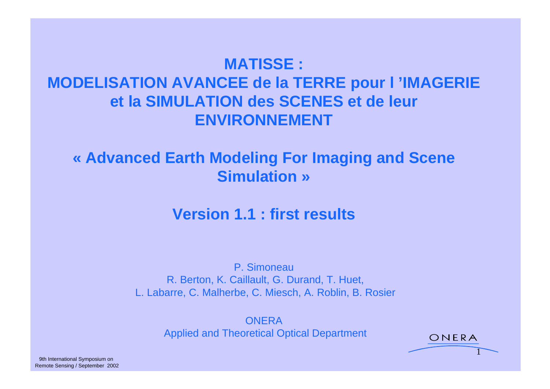## **MATISSE : MODELISATION AVANCEE de la TERRE pour l 'IMAGERIE et la SIMULATION des SCENES et de leur ENVIRONNEMENT**

#### **« Advanced Earth Modeling For Imaging and Scene Simulation »**

#### **Version 1.1 : first results**

P. Simoneau R. Berton, K. Caillault, G. Durand, T. Huet, L. Labarre, C. Malherbe, C. Miesch, A. Roblin, B. Rosier

**ONERA** *Contract de la contract de la contract de la contract de la contract de la contract de la contract de l* Applied and Theoretical Optical Department CNERA

1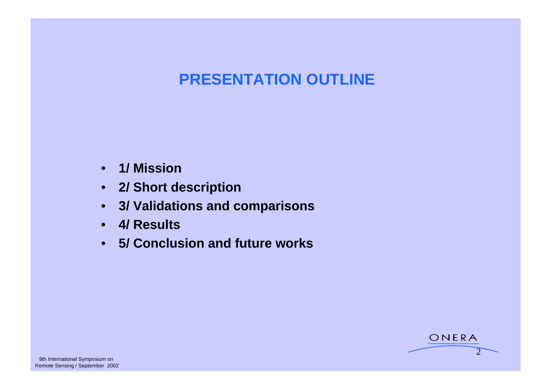## **PRESENTATION OUTLINE**

ONERA

 $2 \rightarrow$ 

- **1/ Mission**
- **2/ Short description**
- **3/ Validations and comparisons**
- **4/ Results**
- **5/ Conclusion and future works**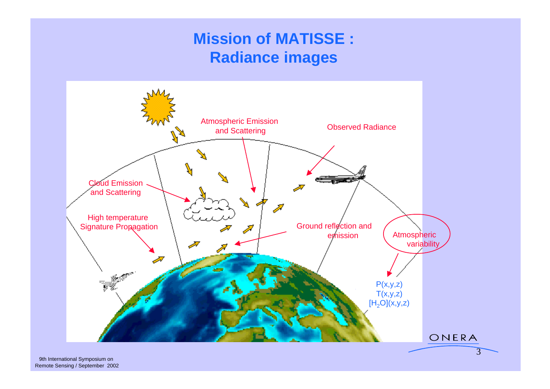## **Mission of MATISSE : Radiance images**

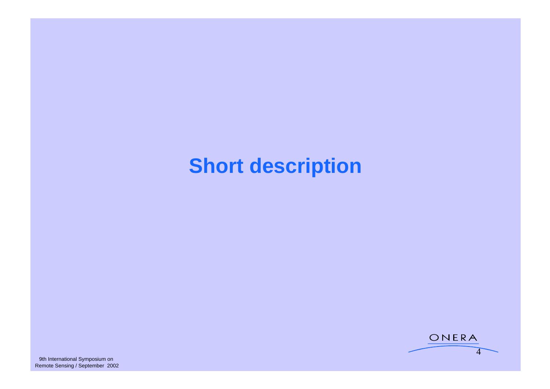# **Short description**

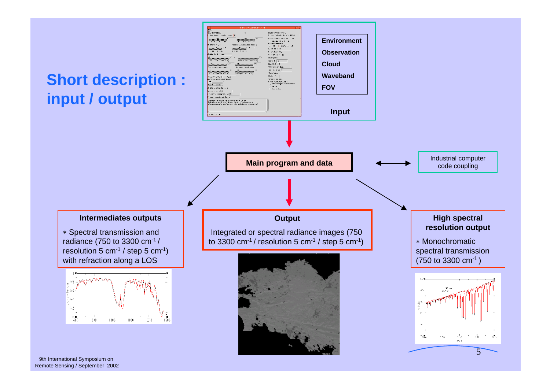

9th International Symposium on<br>Remote Sensing / September 2002 Remote Sensing / September 2002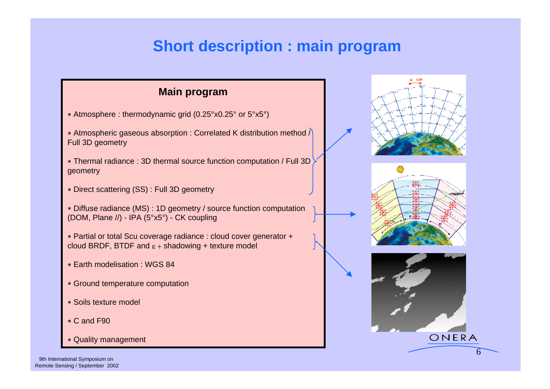#### **Short description : main program**

- Atmosphere : thermodynamic grid (0.25°x0.25° or 5°x5°)
- Atmospheric gaseous absorption : Correlated K distribution method / Full 3D geometry the control of the control of the control of the control of the control of the control of the control of the control of the control of the control of the control of the control of the control of the contro
- Thermal radiance : 3D thermal source function computation / Full 3D geometry
- Direct scattering (SS) : Full 3D geometry
- Diffuse radiance (MS) : 1D geometry / source function computation (DOM, Plane //) - IPA (5°x5°) - CK coupling
- Partial or total Scu coverage radiance : cloud cover generator + cloud BRDF, BTDF and  $\varepsilon$  + shadowing + texture model
- 
- Ground temperature computation
- Soils texture model
- 
- \* Quality management and the contract of the contract of the contract of the contract of the contract of the contract of the contract of the contract of the contract of the contract of the contract of the contract of the c







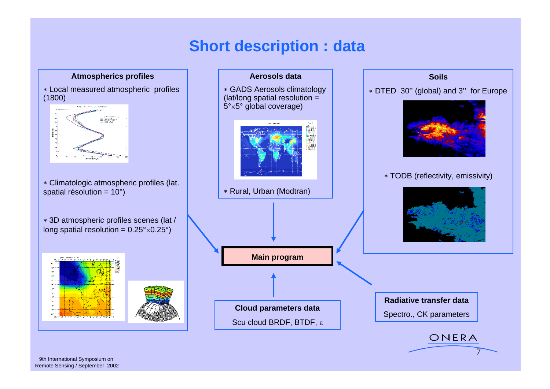#### **Short description : data**

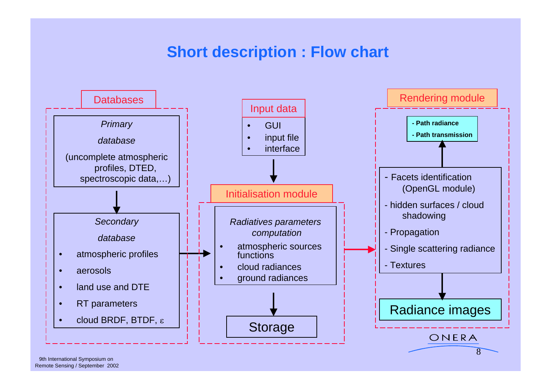#### **Short description : Flow chart**

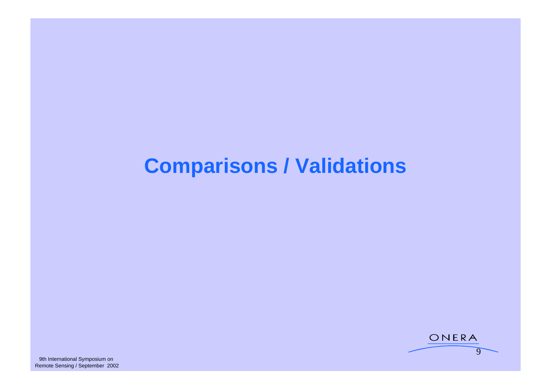# **Comparisons / Validations**

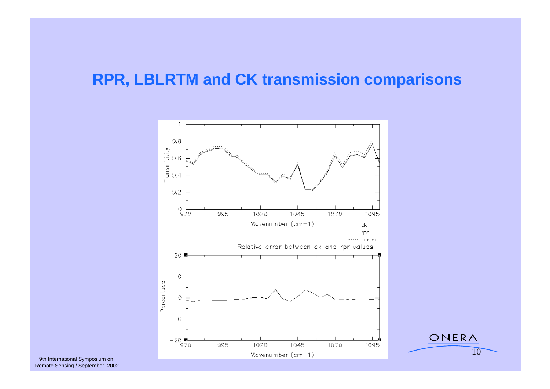#### **RPR, LBLRTM and CK transmission comparisons**



Remote Sensing / September 2002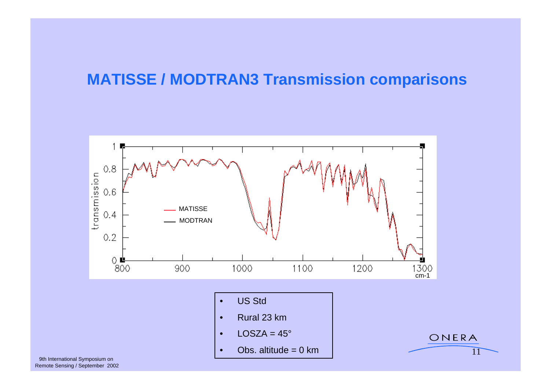#### **MATISSE / MODTRAN3 Transmission comparisons**



Remote Sensing / September 2002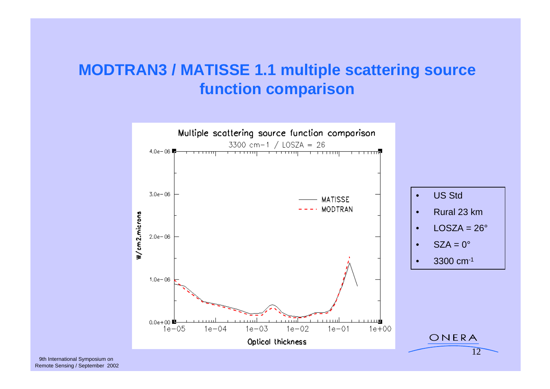#### **MODTRAN3 / MATISSE 1.1 multiple scattering source function comparison**

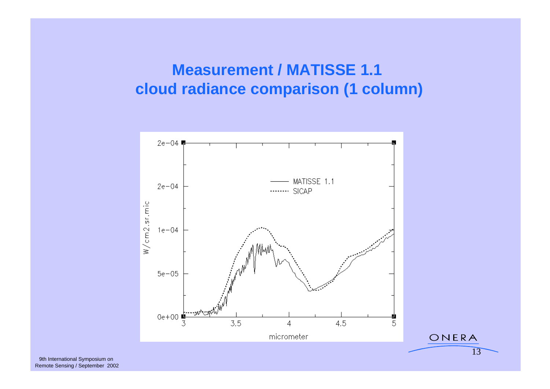#### **Measurement / MATISSE 1.1 cloud radiance comparison (1 column)**



Remote Sensing / September 2002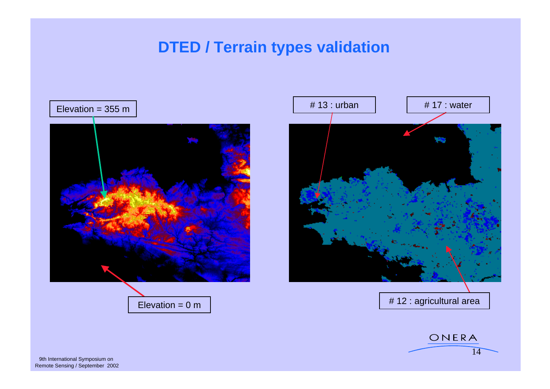## **DTED / Terrain types validation**





ONERA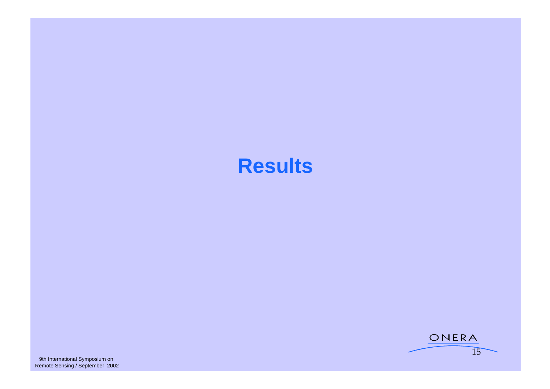## **Results**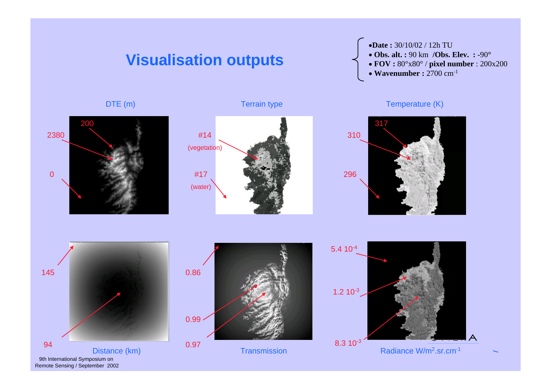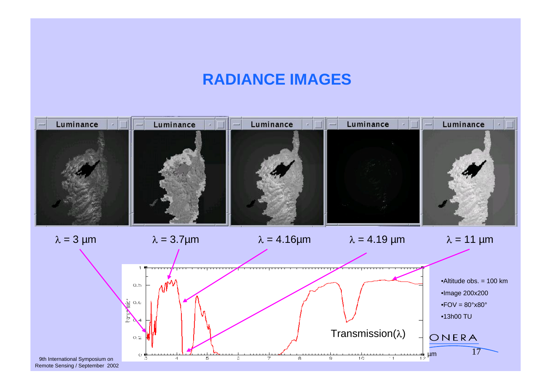#### **RADIANCE IMAGES**

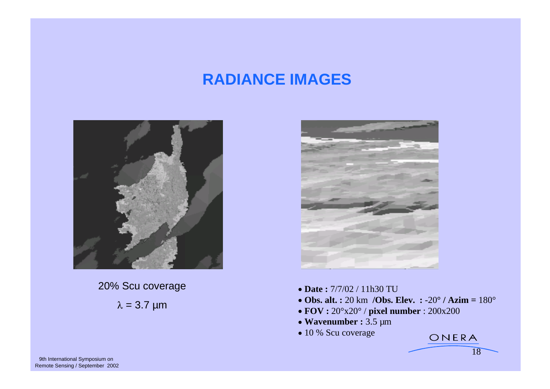#### **RADIANCE IMAGES**



20% Scu coverage **Date:** 7/7/02 / 11h30 TU



- **Date :** 7/7/02 / 11h30 TU
- $= 3.7 \text{ µm}$   $= 0.7 \text{ µm}$   $= 3.7 \text{ µm}$   $= 3.7 \text{ µm}$   $= 3.7 \text{ µm}$  **Obs. alt. :** 20 km **/Obs. Elev. :** -20**° / Azim =** 180°
	- **FOV :** 20°x20° / **pixel number** : 200x200
	- *Wavenumber :* **3.5 µm**  *Wavenumber : 3.5 µm*
	- 10 % Scu coverage

18

ONERA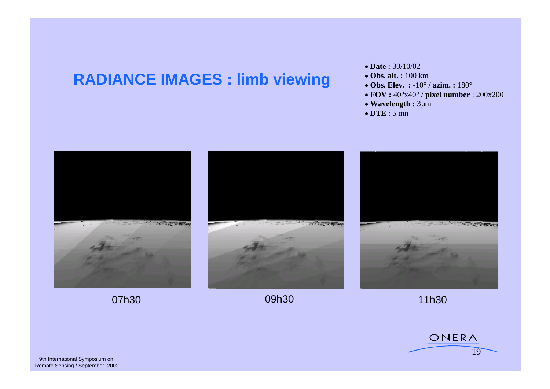#### **RADIANCE IMAGES : limb viewing : Obs. alt.: 100 km**

- **Date : 30/10/02 Date : 30/10/02**
- **Obs. alt. :** 100 km
- **Obs. Elev. :** -10**° / azim. :** 180°
- **FOV :** 40°x40° / **pixel number** : 200x200
- **Wavelength :** 3µm
- **DTE** : 5 mn



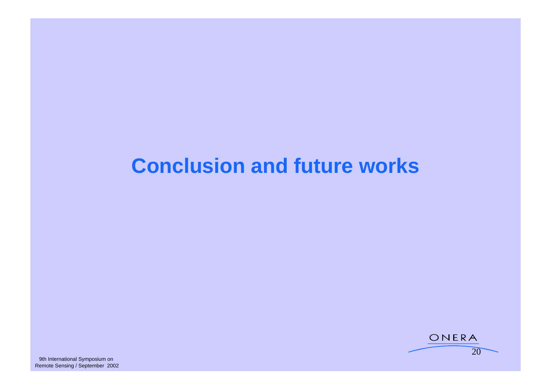# **Conclusion and future works**

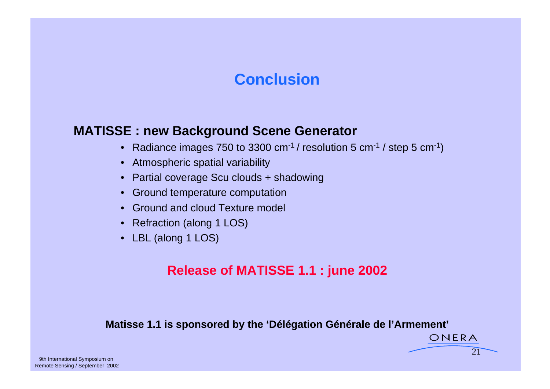#### **Conclusion Conclusion**

#### **MATISSE : new Background Scene Generator**

- Radiance images 750 to 3300 cm<sup>-1</sup> / resolution 5 cm<sup>-1</sup> / step 5 cm<sup>-1</sup>)
- Atmospheric spatial variability
- Partial coverage Scu clouds + shadowing
- Ground temperature computation
- Ground and cloud Texture model
- Refraction (along 1 LOS)
- LBL (along 1 LOS)

#### **Release of MATISSE 1.1 : june 2002**

#### **Matisse 1.1 is sponsored by the 'Délégation Générale de l'Armement'**

 $21$ 

ONERA